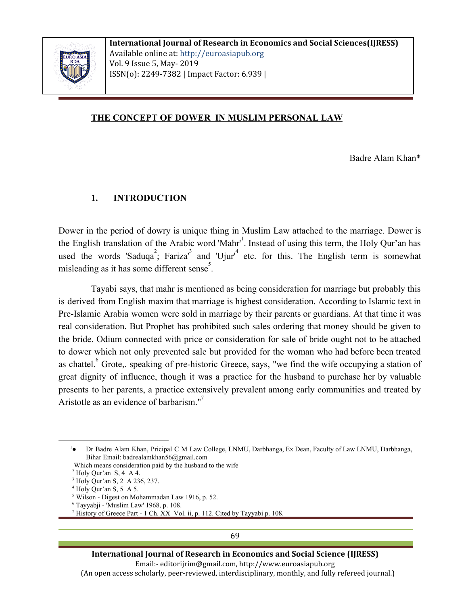

### **THE CONCEPT OF DOWER IN MUSLIM PERSONAL LAW**

Badre Alam Khan\*

#### **1. INTRODUCTION**

Dower in the period of dowry is unique thing in Muslim Law attached to the marriage. Dower is the English translation of the Arabic word 'Mahr'<sup>1</sup>. Instead of using this term, the Holy Qur'an has used the words 'Saduqa<sup>2</sup>; Fariza<sup>3</sup> and 'Ujur'<sup>4</sup> etc. for this. The English term is somewhat misleading as it has some different sense<sup>5</sup>.

Tayabi says, that mahr is mentioned as being consideration for marriage but probably this is derived from English maxim that marriage is highest consideration. According to Islamic text in Pre-Islamic Arabia women were sold in marriage by their parents or guardians. At that time it was real consideration. But Prophet has prohibited such sales ordering that money should be given to the bride. Odium connected with price or consideration for sale of bride ought not to be attached to dower which not only prevented sale but provided for the woman who had before been treated as chattel. Grote, speaking of pre-historic Greece, says, "we find the wife occupying a station of great dignity of influence, though it was a practice for the husband to purchase her by valuable presents to her parents, a practice extensively prevalent among early communities and treated by Aristotle as an evidence of barbarism. $"\right]$ 

69

#### **International Journal of Research in Economics and Social Science (IJRESS)**

Email:- editorijrim@gmail.com, http://www.euroasiapub.org

(An open access scholarly, peer-reviewed, interdisciplinary, monthly, and fully refereed journal.)

<sup>1</sup>● Dr Badre Alam Khan, Pricipal C M Law College, LNMU, Darbhanga, Ex Dean, Faculty of Law LNMU, Darbhanga, Bihar Email: badrealamkhan56@gmail.com

Which means consideration paid by the husband to the wife

 $<sup>2</sup>$  Holy Qur'an S, 4 A 4.</sup>

<sup>3</sup> Holy Qur'an S, 2 A 236, 237.

 $<sup>4</sup>$  Holy Qur'an S, 5 A 5.</sup>

<sup>5</sup> Wilson - Digest on Mohammadan Law 1916, p. 52.

<sup>6</sup> Tayyabji - 'Muslim Law' 1968, p. 108.

<sup>&</sup>lt;sup>7</sup> History of Greece Part - 1 Ch. XX Vol. ii, p. 112. Cited by Tayyabi p. 108.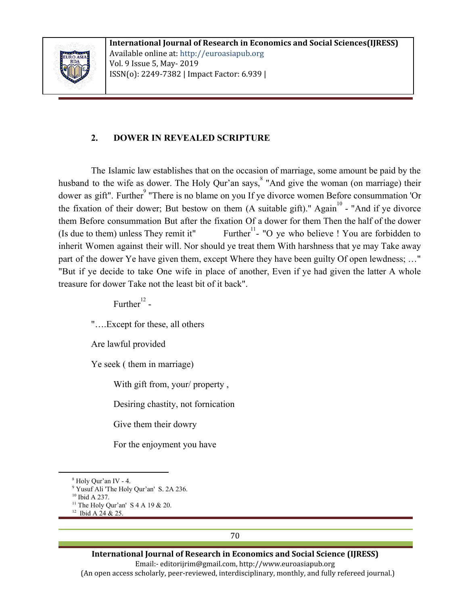

## **2. DOWER IN REVEALED SCRIPTURE**

The Islamic law establishes that on the occasion of marriage, some amount be paid by the husband to the wife as dower. The Holy Qur'an says, <sup>8</sup> "And give the woman (on marriage) their dower as gift". Further<sup>9</sup> "There is no blame on you If ye divorce women Before consummation 'Or the fixation of their dower; But bestow on them  $(A$  suitable gift)." Again<sup>10</sup> - "And if ye divorce them Before consummation But after the fixation Of a dower for them Then the half of the dower (Is due to them) unless They remit it" Further<sup>11</sup> - "O ye who believe ! You are forbidden to inherit Women against their will. Nor should ye treat them With harshness that ye may Take away part of the dower Ye have given them, except Where they have been guilty Of open lewdness; …" "But if ye decide to take One wife in place of another, Even if ye had given the latter A whole treasure for dower Take not the least bit of it back".

Further $^{12}$  -

"….Except for these, all others

Are lawful provided

Ye seek ( them in marriage)

With gift from, your/ property ,

Desiring chastity, not fornication

Give them their dowry

For the enjoyment you have

**International Journal of Research in Economics and Social Science (IJRESS)** Email:- editorijrim@gmail.com, http://www.euroasiapub.org (An open access scholarly, peer-reviewed, interdisciplinary, monthly, and fully refereed journal.)

70

<sup>8</sup> Holy Qur'an IV - 4.

<sup>&</sup>lt;sup>9</sup> Yusuf Ali 'The Holy Qur'an' S. 2A 236.

<sup>10</sup> Ibid A 237.

<sup>&</sup>lt;sup>11</sup> The Holy Qur'an' S 4 A 19 & 20.

<sup>&</sup>lt;sup>12</sup> Ibid A 24 & 25.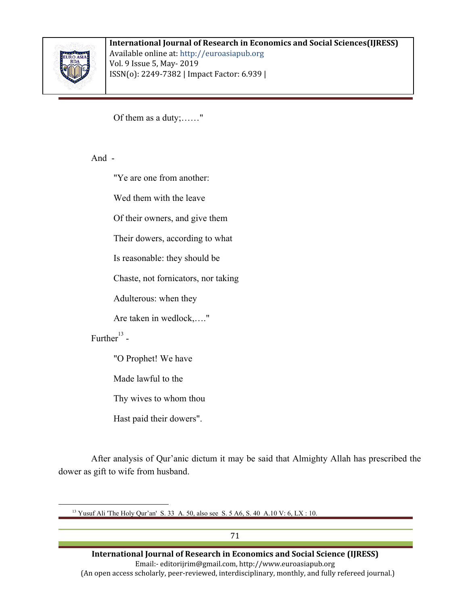

#### **International Journal of Research in Economics and Social Sciences(IJRESS)** Available online at: http://euroasiapub.org Vol. 9 Issue 5, May- 2019

ISSN(o): 2249-7382 | Impact Factor: 6.939 |

Of them as a duty;……"

And -

"Ye are one from another:

Wed them with the leave

Of their owners, and give them

Their dowers, according to what

Is reasonable: they should be

Chaste, not fornicators, nor taking

Adulterous: when they

Are taken in wedlock,…."

Further $^{13}$  -

"O Prophet! We have

Made lawful to the

Thy wives to whom thou

Hast paid their dowers".

After analysis of Qur'anic dictum it may be said that Almighty Allah has prescribed the dower as gift to wife from husband.

<sup>13</sup> Yusuf Ali 'The Holy Qur'an' S. 33 A. 50, also see S. 5 A6, S. 40 A.10 V: 6, LX: 10.

71 **International Journal of Research in Economics and Social Science (IJRESS)** Email:- editorijrim@gmail.com, http://www.euroasiapub.org (An open access scholarly, peer-reviewed, interdisciplinary, monthly, and fully refereed journal.)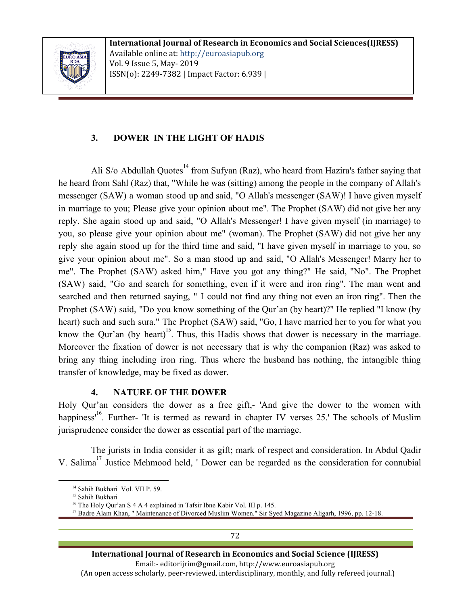

# **3. DOWER IN THE LIGHT OF HADIS**

Ali S/o Abdullah Quotes<sup> $14$ </sup> from Sufyan (Raz), who heard from Hazira's father saying that he heard from Sahl (Raz) that, "While he was (sitting) among the people in the company of Allah's messenger (SAW) a woman stood up and said, "O Allah's messenger (SAW)! I have given myself in marriage to you; Please give your opinion about me". The Prophet (SAW) did not give her any reply. She again stood up and said, "O Allah's Messenger! I have given myself (in marriage) to you, so please give your opinion about me" (woman). The Prophet (SAW) did not give her any reply she again stood up for the third time and said, "I have given myself in marriage to you, so give your opinion about me". So a man stood up and said, "O Allah's Messenger! Marry her to me". The Prophet (SAW) asked him," Have you got any thing?" He said, "No". The Prophet (SAW) said, "Go and search for something, even if it were and iron ring". The man went and searched and then returned saying, " I could not find any thing not even an iron ring". Then the Prophet (SAW) said, "Do you know something of the Qur'an (by heart)?" He replied "I know (by heart) such and such sura." The Prophet (SAW) said, "Go, I have married her to you for what you know the Qur'an (by heart)<sup>15</sup>. Thus, this Hadis shows that dower is necessary in the marriage. Moreover the fixation of dower is not necessary that is why the companion (Raz) was asked to bring any thing including iron ring. Thus where the husband has nothing, the intangible thing transfer of knowledge, may be fixed as dower.

## **4. NATURE OF THE DOWER**

Holy Qur'an considers the dower as a free gift,- 'And give the dower to the women with happiness'<sup>16</sup>. Further- 'It is termed as reward in chapter IV verses 25.' The schools of Muslim jurisprudence consider the dower as essential part of the marriage.

The jurists in India consider it as gift; mark of respect and consideration. In Abdul Qadir V. Salima<sup>17</sup> Justice Mehmood held, ' Dower can be regarded as the consideration for connubial

72

<sup>&</sup>lt;sup>14</sup> Sahih Bukhari Vol. VII P. 59.

<sup>&</sup>lt;sup>15</sup> Sahih Bukhari

<sup>&</sup>lt;sup>16</sup> The Holy Qur'an S 4 A 4 explained in Tafsir Ibne Kabir Vol. III p. 145.

<sup>&</sup>lt;sup>17</sup> Badre Alam Khan, "Maintenance of Divorced Muslim Women." Sir Syed Magazine Aligarh, 1996, pp. 12-18.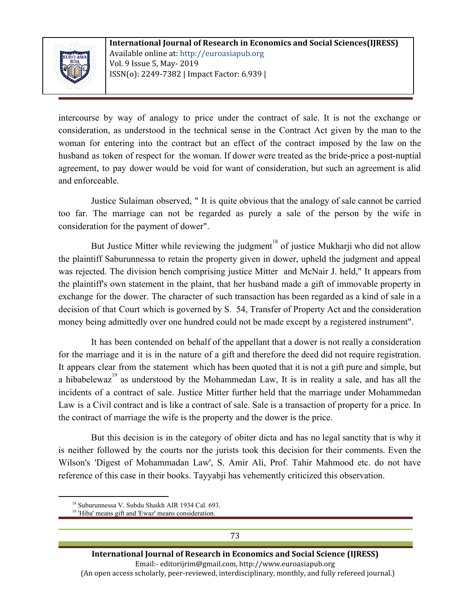

intercourse by way of analogy to price under the contract of sale. It is not the exchange or consideration, as understood in the technical sense in the Contract Act given by the man to the woman for entering into the contract but an effect of the contract imposed by the law on the husband as token of respect for the woman. If dower were treated as the bride-price a post-nuptial agreement, to pay dower would be void for want of consideration, but such an agreement is alid and enforceable.

Justice Sulaiman observed, " It is quite obvious that the analogy of sale cannot be carried too far. The marriage can not be regarded as purely a sale of the person by the wife in consideration for the payment of dower".

But Justice Mitter while reviewing the judgment<sup>18</sup> of justice Mukharji who did not allow the plaintiff Saburunnessa to retain the property given in dower, upheld the judgment and appeal was rejected. The division bench comprising justice Mitter and McNair J. held," It appears from the plaintiff's own statement in the plaint, that her husband made a gift of immovable property in exchange for the dower. The character of such transaction has been regarded as a kind of sale in a decision of that Court which is governed by S. 54, Transfer of Property Act and the consideration money being admittedly over one hundred could not be made except by a registered instrument".

It has been contended on behalf of the appellant that a dower is not really a consideration for the marriage and it is in the nature of a gift and therefore the deed did not require registration. It appears clear from the statement which has been quoted that it is not a gift pure and simple, but a hibabelewaz<sup>19</sup> as understood by the Mohammedan Law, It is in reality a sale, and has all the incidents of a contract of sale. Justice Mitter further held that the marriage under Mohammedan Law is a Civil contract and is like a contract of sale. Sale is a transaction of property for a price. In the contract of marriage the wife is the property and the dower is the price.

But this decision is in the category of obiter dicta and has no legal sanctity that is why it is neither followed by the courts nor the jurists took this decision for their comments. Even the Wilson's 'Digest of Mohammadan Law', S. Amir Ali, Prof. Tahir Mahmood etc. do not have reference of this case in their books. Tayyabji has vehemently criticized this observation.

<sup>&</sup>lt;sup>18</sup> Suburunnessa V. Subdu Shaikh AIR 1934 Cal. 693.

<sup>&</sup>lt;sup>19</sup> 'Hiba' means gift and 'Ewaz' means consideration.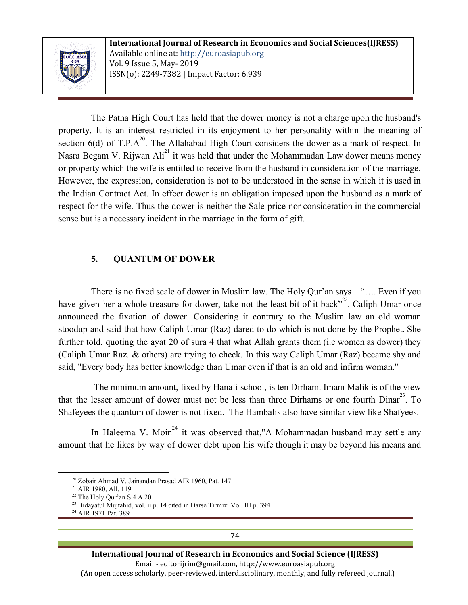

The Patna High Court has held that the dower money is not a charge upon the husband's property. It is an interest restricted in its enjoyment to her personality within the meaning of section 6(d) of T.P. $A^{20}$ . The Allahabad High Court considers the dower as a mark of respect. In Nasra Begam V. Rijwan Ali<sup>21</sup> it was held that under the Mohammadan Law dower means money or property which the wife is entitled to receive from the husband in consideration of the marriage. However, the expression, consideration is not to be understood in the sense in which it is used in the Indian Contract Act. In effect dower is an obligation imposed upon the husband as a mark of respect for the wife. Thus the dower is neither the Sale price nor consideration in the commercial sense but is a necessary incident in the marriage in the form of gift.

## **5. QUANTUM OF DOWER**

There is no fixed scale of dower in Muslim law. The Holy Qur'an says – "…. Even if you have given her a whole treasure for dower, take not the least bit of it back<sup> $22$ </sup>. Caliph Umar once announced the fixation of dower. Considering it contrary to the Muslim law an old woman stoodup and said that how Caliph Umar (Raz) dared to do which is not done by the Prophet. She further told, quoting the ayat 20 of sura 4 that what Allah grants them (i.e women as dower) they (Caliph Umar Raz. & others) are trying to check. In this way Caliph Umar (Raz) became shy and said, "Every body has better knowledge than Umar even if that is an old and infirm woman."

The minimum amount, fixed by Hanafi school, is ten Dirham. Imam Malik is of the view that the lesser amount of dower must not be less than three Dirhams or one fourth  $Dinar<sup>23</sup>$ . To Shafeyees the quantum of dower is not fixed. The Hambalis also have similar view like Shafyees.

In Haleema V. Moin<sup>24</sup> it was observed that,"A Mohammadan husband may settle any amount that he likes by way of dower debt upon his wife though it may be beyond his means and

<sup>20</sup> Zobair Ahmad V. Jainandan Prasad AIR 1960, Pat. 147

<sup>&</sup>lt;sup>21</sup> AIR 1980, All. 119

<sup>22</sup> The Holy Qur'an S 4 A 20

<sup>&</sup>lt;sup>23</sup> Bidayatul Mujtahid, vol. ii p. 14 cited in Darse Tirmizi Vol. III p. 394

<sup>24</sup> AIR 1971 Pat. 389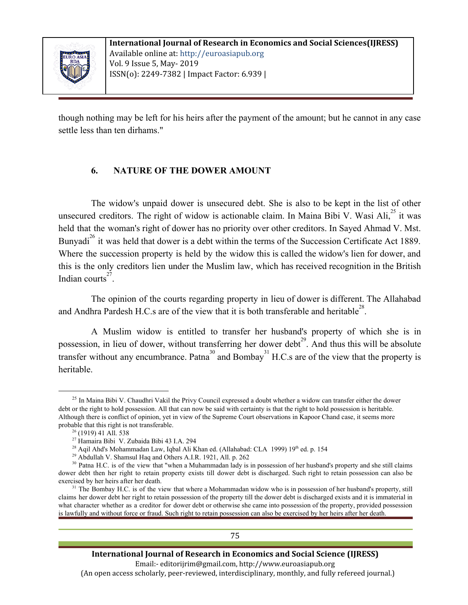

though nothing may be left for his heirs after the payment of the amount; but he cannot in any case settle less than ten dirhams."

# **6. NATURE OF THE DOWER AMOUNT**

The widow's unpaid dower is unsecured debt. She is also to be kept in the list of other unsecured creditors. The right of widow is actionable claim. In Maina Bibi V. Wasi Ali, $^{25}$  it was held that the woman's right of dower has no priority over other creditors. In Sayed Ahmad V. Mst. Bunyadi<sup>26</sup> it was held that dower is a debt within the terms of the Succession Certificate Act 1889. Where the succession property is held by the widow this is called the widow's lien for dower, and this is the only creditors lien under the Muslim law, which has received recognition in the British Indian courts $^{27}$ .

The opinion of the courts regarding property in lieu of dower is different. The Allahabad and Andhra Pardesh H.C.s are of the view that it is both transferable and heritable<sup>28</sup>.

A Muslim widow is entitled to transfer her husband's property of which she is in possession, in lieu of dower, without transferring her dower debt<sup>29</sup>. And thus this will be absolute transfer without any encumbrance. Patna<sup>30</sup> and Bombay<sup>31</sup> H.C.s are of the view that the property is heritable.

 $25$  In Maina Bibi V. Chaudhri Vakil the Privy Council expressed a doubt whether a widow can transfer either the dower debt or the right to hold possession. All that can now be said with certainty is that the right to hold possession is heritable. Although there is conflict of opinion, yet in view of the Supreme Court observations in Kapoor Chand case, it seems more probable that this right is not transferable.

<sup>26</sup> (1919) 41 All. 538

<sup>27</sup> Hamaira Bibi V. Zubaida Bibi 43 I.A. 294

<sup>&</sup>lt;sup>28</sup> Aqil Ahd's Mohammadan Law, Iqbal Ali Khan ed. (Allahabad: CLA 1999) 19<sup>th</sup> ed. p. 154

<sup>29</sup> Abdullah V. Shamsul Haq and Others A.I.R. 1921, All. p. 262

 $30$  Patna H.C. is of the view that "when a Muhammadan lady is in possession of her husband's property and she still claims dower debt then her right to retain property exists till dower debt is discharged. Such right to retain possession can also be exercised by her heirs after her death.

 $31$  The Bombay H.C. is of the view that where a Mohammadan widow who is in possession of her husband's property, still claims her dower debt her right to retain possession of the property till the dower debt is discharged exists and it is immaterial in what character whether as a creditor for dower debt or otherwise she came into possession of the property, provided possession is lawfully and without force or fraud. Such right to retain possession can also be exercised by her heirs after her death.